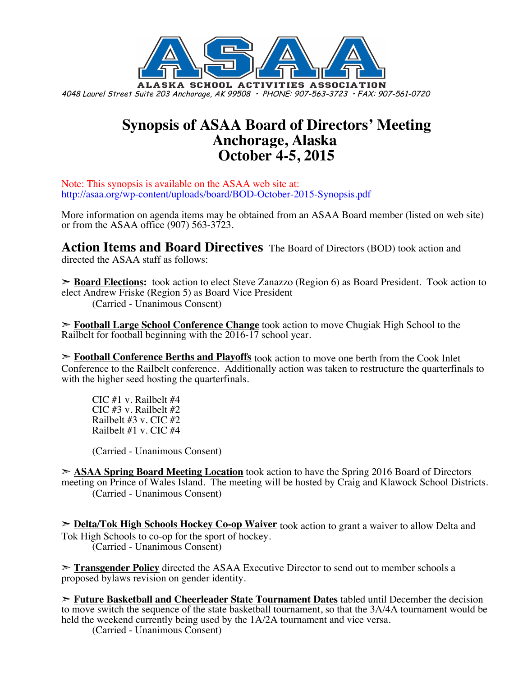

## **Synopsis of ASAA Board of Directors' Meeting Anchorage, Alaska October 4-5, 2015**

Note: This synopsis is available on the ASAA web site at: http://asaa.org/wp-content/uploads/board/BOD-October-2015-Synopsis.pdf

More information on agenda items may be obtained from an ASAA Board member (listed on web site) or from the ASAA office (907) 563-3723.

**Action Items and Board Directives** The Board of Directors (BOD) took action and directed the ASAA staff as follows:

➣ **Board Elections:** took action to elect Steve Zanazzo (Region 6) as Board President. Took action to elect Andrew Friske (Region 5) as Board Vice President (Carried - Unanimous Consent)

➣ **Football Large School Conference Change** took action to move Chugiak High School to the Railbelt for football beginning with the 2016-17 school year.

➣ **Football Conference Berths and Playoffs** took action to move one berth from the Cook Inlet Conference to the Railbelt conference. Additionally action was taken to restructure the quarterfinals to with the higher seed hosting the quarterfinals.

CIC #1 v. Railbelt #4 CIC #3 v. Railbelt #2 Railbelt #3 v. CIC #2 Railbelt #1 v. CIC #4

(Carried - Unanimous Consent)

➣ **ASAA Spring Board Meeting Location** took action to have the Spring 2016 Board of Directors meeting on Prince of Wales Island. The meeting will be hosted by Craig and Klawock School Districts. (Carried - Unanimous Consent)

➣ **Delta/Tok High Schools Hockey Co-op Waiver** took action to grant a waiver to allow Delta and Tok High Schools to co-op for the sport of hockey. (Carried - Unanimous Consent)

➣ **Transgender Policy** directed the ASAA Executive Director to send out to member schools a proposed bylaws revision on gender identity.

➣ **Future Basketball and Cheerleader State Tournament Dates** tabled until December the decision to move switch the sequence of the state basketball tournament, so that the 3A/4A tournament would be held the weekend currently being used by the 1A/2A tournament and vice versa.

(Carried - Unanimous Consent)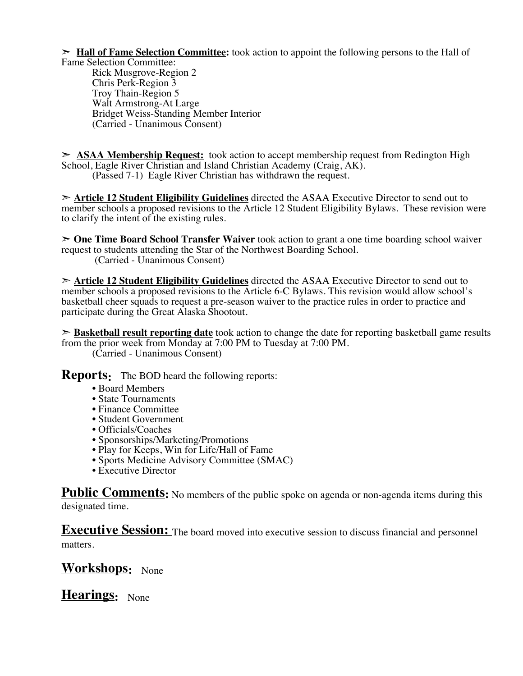➣ **Hall of Fame Selection Committee:** took action to appoint the following persons to the Hall of Fame Selection Committee:

Rick Musgrove-Region 2 Chris Perk-Region 3 Troy Thain-Region 5 Walt Armstrong-At Large Bridget Weiss-Standing Member Interior (Carried - Unanimous Consent)

➣ **ASAA Membership Request:** took action to accept membership request from Redington High School, Eagle River Christian and Island Christian Academy (Craig, AK). (Passed 7-1) Eagle River Christian has withdrawn the request.

➣ **Article 12 Student Eligibility Guidelines** directed the ASAA Executive Director to send out to member schools a proposed revisions to the Article 12 Student Eligibility Bylaws. These revision were to clarify the intent of the existing rules.

➣ **One Time Board School Transfer Waiver** took action to grant a one time boarding school waiver request to students attending the Star of the Northwest Boarding School. (Carried - Unanimous Consent)

➣ **Article 12 Student Eligibility Guidelines** directed the ASAA Executive Director to send out to member schools a proposed revisions to the Article 6-C Bylaws. This revision would allow school's basketball cheer squads to request a pre-season waiver to the practice rules in order to practice and participate during the Great Alaska Shootout.

➣ **Basketball result reporting date** took action to change the date for reporting basketball game results from the prior week from Monday at 7:00 PM to Tuesday at 7:00 PM.

(Carried - Unanimous Consent)

**Reports:** The BOD heard the following reports:

- Board Members
- State Tournaments
- Finance Committee
- Student Government
- Officials/Coaches
- Sponsorships/Marketing/Promotions
- Play for Keeps, Win for Life/Hall of Fame
- Sports Medicine Advisory Committee (SMAC)
- Executive Director

**Public Comments:** No members of the public spoke on agenda or non-agenda items during this designated time.

**Executive Session:** The board moved into executive session to discuss financial and personnel matters.

### **Workshops:** None

**Hearings:** None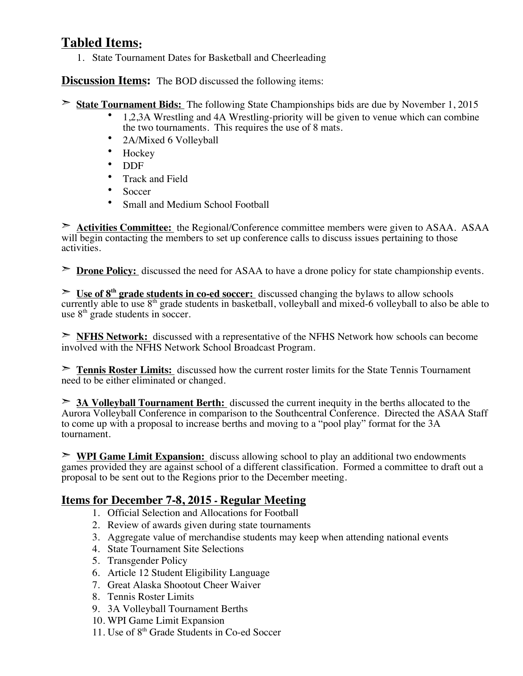#### **Tabled Items:**

1. State Tournament Dates for Basketball and Cheerleading

**Discussion Items:** The BOD discussed the following items:

- ➣ **State Tournament Bids:** The following State Championships bids are due by November 1, 2015
	- 1,2,3A Wrestling and 4A Wrestling-priority will be given to venue which can combine the two tournaments. This requires the use of 8 mats.
	- 2A/Mixed 6 Volleyball
	- Hockey
	- DDF
	- Track and Field
	- Soccer
	- Small and Medium School Football

➣ **Activities Committee:** the Regional/Conference committee members were given to ASAA. ASAA will begin contacting the members to set up conference calls to discuss issues pertaining to those activities.

➣ **Drone Policy:** discussed the need for ASAA to have a drone policy for state championship events.

➣ **Use of 8th grade students in co-ed soccer:** discussed changing the bylaws to allow schools currently able to use  $8<sup>th</sup>$  grade students in basketball, volleyball and mixed-6 volleyball to also be able to use  $8<sup>th</sup>$  grade students in soccer.

➣ **NFHS Network:** discussed with a representative of the NFHS Network how schools can become involved with the NFHS Network School Broadcast Program.

➣ **Tennis Roster Limits:** discussed how the current roster limits for the State Tennis Tournament need to be either eliminated or changed.

➣ **3A Volleyball Tournament Berth:** discussed the current inequity in the berths allocated to the Aurora Volleyball Conference in comparison to the Southcentral Conference. Directed the ASAA Staff to come up with a proposal to increase berths and moving to a "pool play" format for the 3A tournament.

➣ **WPI Game Limit Expansion:** discuss allowing school to play an additional two endowments games provided they are against school of a different classification. Formed a committee to draft out a proposal to be sent out to the Regions prior to the December meeting.

#### **Items for December 7-8, 2015 - Regular Meeting**

- 1. Official Selection and Allocations for Football
- 2. Review of awards given during state tournaments
- 3. Aggregate value of merchandise students may keep when attending national events
- 4. State Tournament Site Selections
- 5. Transgender Policy
- 6. Article 12 Student Eligibility Language
- 7. Great Alaska Shootout Cheer Waiver
- 8. Tennis Roster Limits
- 9. 3A Volleyball Tournament Berths
- 10. WPI Game Limit Expansion
- 11. Use of 8<sup>th</sup> Grade Students in Co-ed Soccer